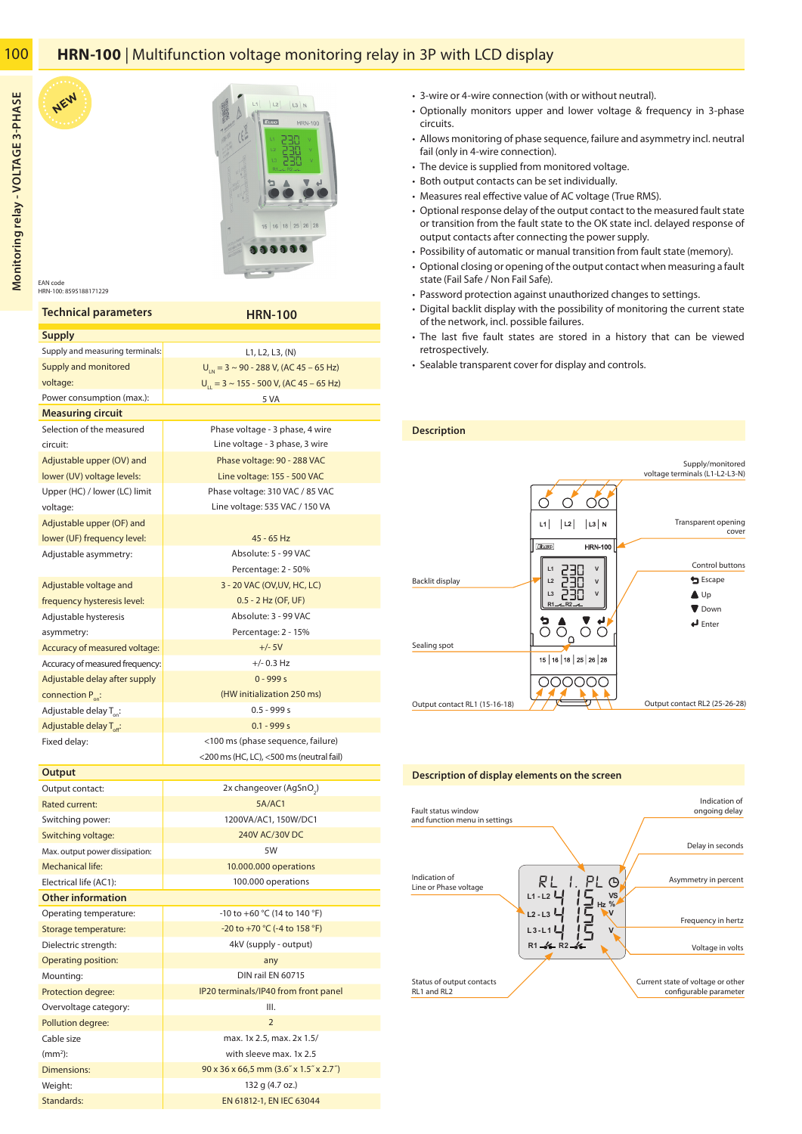# **HRN-100** | Multifunction voltage monitoring relay in 3P with LCD display

100



EAN code HRN-100: 8595188171229

**NEW**

| <b>Technical parameters</b>                               | <b>HRN-100</b>                                                                       |  |  |  |  |  |
|-----------------------------------------------------------|--------------------------------------------------------------------------------------|--|--|--|--|--|
| <b>Supply</b>                                             |                                                                                      |  |  |  |  |  |
| Supply and measuring terminals:                           | L1, L2, L3, (N)                                                                      |  |  |  |  |  |
| Supply and monitored                                      | $U_{\text{in}}$ = 3 ~ 90 - 288 V, (AC 45 – 65 Hz)                                    |  |  |  |  |  |
| voltage:                                                  | $U_{11} = 3 \sim 155 - 500$ V, (AC 45 – 65 Hz)                                       |  |  |  |  |  |
| Power consumption (max.):                                 | 5 VA                                                                                 |  |  |  |  |  |
| <b>Measuring circuit</b>                                  |                                                                                      |  |  |  |  |  |
| Selection of the measured                                 | Phase voltage - 3 phase, 4 wire                                                      |  |  |  |  |  |
| circuit:                                                  | Line voltage - 3 phase, 3 wire                                                       |  |  |  |  |  |
| Adjustable upper (OV) and                                 | Phase voltage: 90 - 288 VAC                                                          |  |  |  |  |  |
| lower (UV) voltage levels:                                | Line voltage: 155 - 500 VAC                                                          |  |  |  |  |  |
| Upper (HC) / lower (LC) limit                             | Phase voltage: 310 VAC / 85 VAC                                                      |  |  |  |  |  |
| voltage:                                                  | Line voltage: 535 VAC / 150 VA                                                       |  |  |  |  |  |
| Adjustable upper (OF) and                                 |                                                                                      |  |  |  |  |  |
| lower (UF) frequency level:                               | 45 - 65 Hz                                                                           |  |  |  |  |  |
| Adjustable asymmetry:                                     | Absolute: 5 - 99 VAC                                                                 |  |  |  |  |  |
|                                                           | Percentage: 2 - 50%                                                                  |  |  |  |  |  |
| Adjustable voltage and                                    | 3 - 20 VAC (OV, UV, HC, LC)                                                          |  |  |  |  |  |
| frequency hysteresis level:                               | 0.5 - 2 Hz (OF, UF)                                                                  |  |  |  |  |  |
| Adjustable hysteresis                                     | Absolute: 3 - 99 VAC                                                                 |  |  |  |  |  |
| asymmetry:                                                | Percentage: 2 - 15%                                                                  |  |  |  |  |  |
| Accuracy of measured voltage:                             | $+/- 5V$                                                                             |  |  |  |  |  |
| Accuracy of measured frequency:                           | $+/- 0.3$ Hz                                                                         |  |  |  |  |  |
| Adjustable delay after supply                             | $0 - 999s$                                                                           |  |  |  |  |  |
| connection $P_{\text{on}}$ :                              | (HW initialization 250 ms)                                                           |  |  |  |  |  |
| Adjustable delay T <sub>op</sub> :                        | $0.5 - 999s$                                                                         |  |  |  |  |  |
| Adjustable delay T <sub>off</sub> :                       | $0.1 - 999s$                                                                         |  |  |  |  |  |
| Fixed delay:                                              | <100 ms (phase sequence, failure)                                                    |  |  |  |  |  |
|                                                           | <200 ms (HC, LC), <500 ms (neutral fail)                                             |  |  |  |  |  |
| Output                                                    |                                                                                      |  |  |  |  |  |
| Output contact:                                           | 2x changeover (AgSnO.)                                                               |  |  |  |  |  |
| <b>Rated current:</b>                                     | <b>5A/AC1</b>                                                                        |  |  |  |  |  |
| Switching power:                                          | 1200VA/AC1, 150W/DC1<br>240V AC/30V DC                                               |  |  |  |  |  |
| Switching voltage:                                        | 5W                                                                                   |  |  |  |  |  |
| Max. output power dissipation:<br><b>Mechanical life:</b> |                                                                                      |  |  |  |  |  |
| Electrical life (AC1):                                    | 10.000.000 operations<br>100.000 operations                                          |  |  |  |  |  |
| <b>Other information</b>                                  |                                                                                      |  |  |  |  |  |
| Operating temperature:                                    | -10 to +60 °C (14 to 140 °F)                                                         |  |  |  |  |  |
| Storage temperature:                                      | -20 to +70 °C (-4 to 158 °F)                                                         |  |  |  |  |  |
| Dielectric strength:                                      | 4kV (supply - output)                                                                |  |  |  |  |  |
| <b>Operating position:</b>                                | any                                                                                  |  |  |  |  |  |
| Mounting:                                                 | DIN rail EN 60715                                                                    |  |  |  |  |  |
| Protection degree:                                        | IP20 terminals/IP40 from front panel                                                 |  |  |  |  |  |
| Overvoltage category:                                     | III.                                                                                 |  |  |  |  |  |
| Pollution degree:                                         | $\overline{2}$                                                                       |  |  |  |  |  |
| Cable size                                                | max. 1x 2.5, max. 2x 1.5/                                                            |  |  |  |  |  |
| $(mm2)$ :                                                 | with sleeve max. 1x 2.5                                                              |  |  |  |  |  |
| <b>Dimensions:</b>                                        |                                                                                      |  |  |  |  |  |
|                                                           |                                                                                      |  |  |  |  |  |
| Weight:                                                   | $90 \times 36 \times 66,5$ mm $(3.6'' \times 1.5'' \times 2.7'')$<br>132 g (4.7 oz.) |  |  |  |  |  |

- 3-wire or 4-wire connection (with or without neutral).
- Optionally monitors upper and lower voltage & frequency in 3-phase circuits.
- Allows monitoring of phase sequence, failure and asymmetry incl. neutral fail (only in 4-wire connection).
- The device is supplied from monitored voltage.
- Both output contacts can be set individually.
- Measures real effective value of AC voltage (True RMS).
- Optional response delay of the output contact to the measured fault state or transition from the fault state to the OK state incl. delayed response of output contacts after connecting the power supply.
- Possibility of automatic or manual transition from fault state (memory).
- Optional closing or opening of the output contact when measuring a fault state (Fail Safe / Non Fail Safe).
- Password protection against unauthorized changes to settings.
- Digital backlit display with the possibility of monitoring the current state of the network, incl. possible failures.
- The last five fault states are stored in a history that can be viewed retrospectively.
- Sealable transparent cover for display and controls.



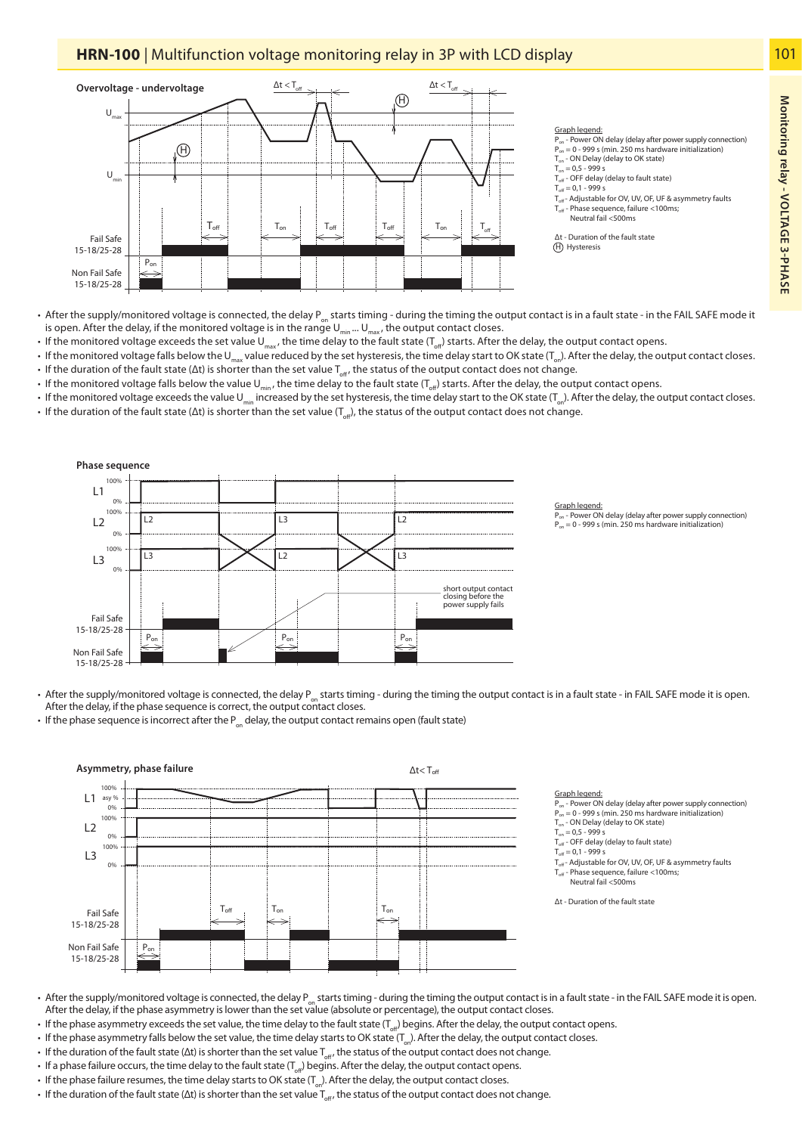# **HRN-100** | Multifunction voltage monitoring relay in 3P with LCD display



- After the supply/monitored voltage is connected, the delay P<sub>on</sub> starts timing during the timing the output contact is in a fault state in the FAIL SAFE mode it is open. After the delay, if the monitored voltage is in the range  $U_{min}$  ...  $U_{max}$ , the output contact closes.
- If the monitored voltage exceeds the set value U<sub>max</sub>, the time delay to the fault state (T<sub>off</sub>) starts. After the delay, the output contact opens.
- If the monitored voltage falls below the U<sub>max</sub> value reduced by the set hysteresis, the time delay start to OK state (T<sub>on</sub>). After the delay, the output contact closes.
- $\cdot\,$  If the duration of the fault state (Δt) is shorter than the set value  $T_{\rm off}$ , the status of the output contact does not change.
- If the monitored voltage falls below the value U<sub>min</sub>, the time delay to the fault state ( $T_{\text{off}}$ ) starts. After the delay, the output contact opens.
- If the monitored voltage exceeds the value U<sub>min</sub> increased by the set hysteresis, the time delay start to the OK state (T<sub>ox</sub>). After the delay, the output contact closes. • If the duration of the fault state (Δt) is shorter than the set value ( $T_{rel}$ ), the status of the output contact does not change.



• After the supply/monitored voltage is connected, the delay  $P_{\text{on}}$  starts timing - during the timing the output contact is in a fault state - in FAIL SAFE mode it is open. After the delay, if the phase sequence is correct, the output contact closes.

• If the phase sequence is incorrect after the  $P_{on}$  delay, the output contact remains open (fault state)



### Graph legen

 $\overline{P_{on}}$  - Power ON delay (delay after power supply connection)  $P_{on} = 0 - 999$  s (min. 250 ms hardware initialization)

<u>Graph legend:</u><br>P<sub>on</sub> - Power ON delay (delay after power supply connection)  $P = 0 - 999$  s (min. 250 ms hardware initialization)

T<sub>on</sub> - ON Delay (delay to OK state)

- $T_{on} = 0.5 999 s$
- $T_{\text{off}}$  OFF delay (delay to fault state)
- $T_{\text{eff}} = 0.1 999$  s
- $T_{\text{off}}$  Adjustable for OV, UV, OF, UF & asymmetry faults<br> $T_{\text{off}}$  Phase sequence, failure <100ms;
- Toff Phase sequence, failure <100ms; Neutral fail <500ms

Δt - Duration of the fault state

- After the supply/monitored voltage is connected, the delay  $P_{\text{on}}$  starts timing during the timing the output contact is in a fault state in the FAIL SAFE mode it is open. After the delay, if the phase asymmetry is lower than the set value (absolute or percentage), the output contact closes.
- If the phase asymmetry exceeds the set value, the time delay to the fault state ( $T_{\text{eff}}$ ) begins. After the delay, the output contact opens.
- If the phase asymmetry falls below the set value, the time delay starts to OK state ( $T_{on}$ ). After the delay, the output contact closes.
- $\cdot\,$  If the duration of the fault state (Δt) is shorter than the set value  $\mathsf{T}_{\rm off}$ , the status of the output contact does not change.
- If a phase failure occurs, the time delay to the fault state  $(T_{off})$  begins. After the delay, the output contact opens.
- $\cdot$  If the phase failure resumes, the time delay starts to OK state (T<sub>oo</sub>). After the delay, the output contact closes.
- $\cdot\,$  If the duration of the fault state (Δt) is shorter than the set value  $T_{\rm off}$ , the status of the output contact does not change.